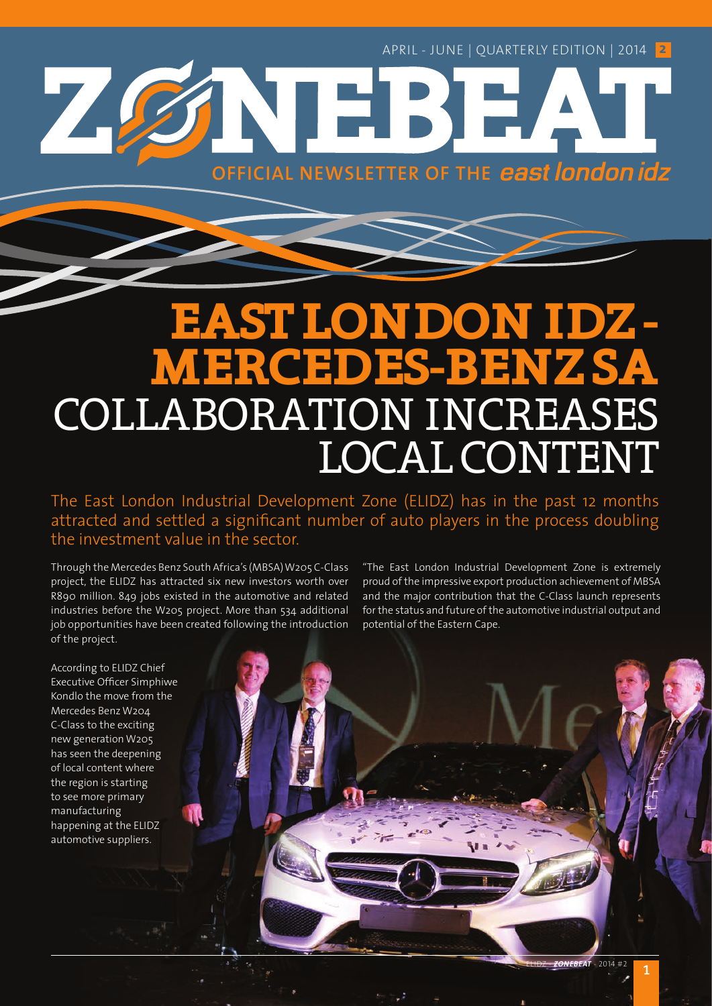**OFFICIAL NEWSLETTER OF THE** 

## **EAST LONDON IDZ - MERCEDES-BENZ SA** COLLABORATION INCREASES LOCAL CONTENT

WEI

The East London Industrial Development Zone (ELIDZ) has in the past 12 months attracted and settled a significant number of auto players in the process doubling the investment value in the sector.

Through the Mercedes Benz South Africa's (MBSA) W205 C-Class project, the ELIDZ has attracted six new investors worth over R890 million. 849 jobs existed in the automotive and related industries before the W205 project. More than 534 additional job opportunities have been created following the introduction of the project.

"The East London Industrial Development Zone is extremely proud of the impressive export production achievement of MBSA and the major contribution that the C-Class launch represents for the status and future of the automotive industrial output and potential of the Eastern Cape.

According to ELIDZ Chief Executive Officer Simphiwe Kondlo the move from the Mercedes Benz W204 C-Class to the exciting new generation W205 has seen the deepening of local content where the region is starting to see more primary manufacturing happening at the ELIDZ automotive suppliers.

74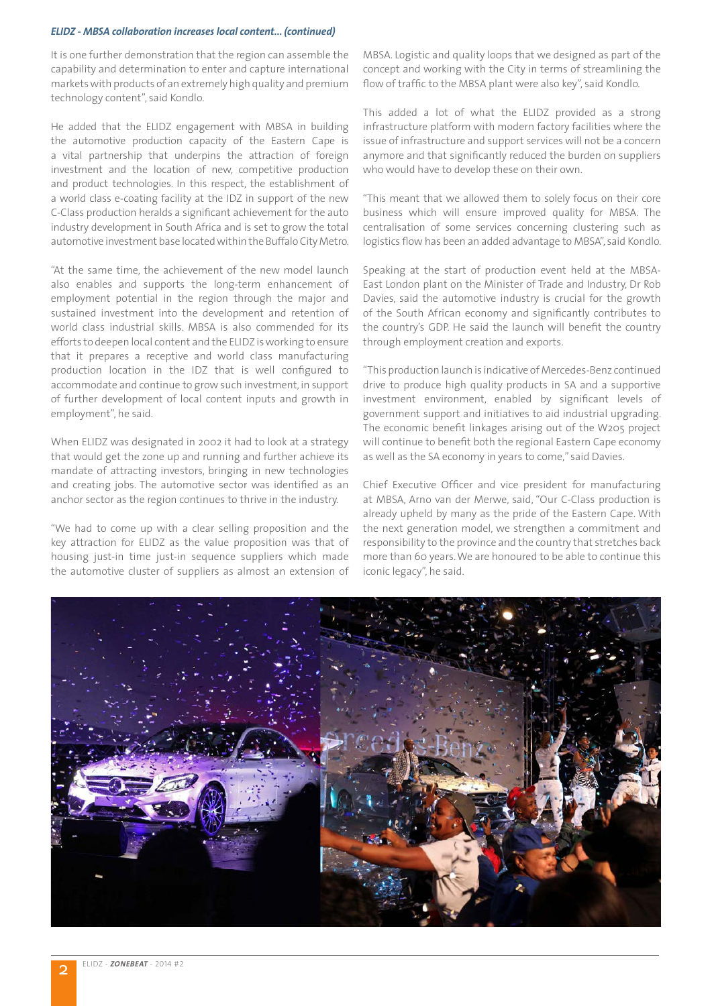#### *ELIDZ - MBSA collaboration increases local content... (continued)*

It is one further demonstration that the region can assemble the capability and determination to enter and capture international markets with products of an extremely high quality and premium technology content", said Kondlo.

He added that the ELIDZ engagement with MBSA in building the automotive production capacity of the Eastern Cape is a vital partnership that underpins the attraction of foreign investment and the location of new, competitive production and product technologies. In this respect, the establishment of a world class e-coating facility at the IDZ in support of the new C-Class production heralds a significant achievement for the auto industry development in South Africa and is set to grow the total automotive investment base located within the Buffalo City Metro.

"At the same time, the achievement of the new model launch also enables and supports the long-term enhancement of employment potential in the region through the major and sustained investment into the development and retention of world class industrial skills. MBSA is also commended for its efforts to deepen local content and the ELIDZ is working to ensure that it prepares a receptive and world class manufacturing production location in the IDZ that is well configured to accommodate and continue to grow such investment, in support of further development of local content inputs and growth in employment", he said.

When ELIDZ was designated in 2002 it had to look at a strategy that would get the zone up and running and further achieve its mandate of attracting investors, bringing in new technologies and creating jobs. The automotive sector was identified as an anchor sector as the region continues to thrive in the industry.

"We had to come up with a clear selling proposition and the key attraction for ELIDZ as the value proposition was that of housing just-in time just-in sequence suppliers which made the automotive cluster of suppliers as almost an extension of MBSA. Logistic and quality loops that we designed as part of the concept and working with the City in terms of streamlining the flow of traffic to the MBSA plant were also key", said Kondlo.

This added a lot of what the ELIDZ provided as a strong infrastructure platform with modern factory facilities where the issue of infrastructure and support services will not be a concern anymore and that significantly reduced the burden on suppliers who would have to develop these on their own.

"This meant that we allowed them to solely focus on their core business which will ensure improved quality for MBSA. The centralisation of some services concerning clustering such as logistics flow has been an added advantage to MBSA", said Kondlo.

Speaking at the start of production event held at the MBSA-East London plant on the Minister of Trade and Industry, Dr Rob Davies, said the automotive industry is crucial for the growth of the South African economy and significantly contributes to the country's GDP. He said the launch will benefit the country through employment creation and exports.

"This production launch is indicative of Mercedes-Benz continued drive to produce high quality products in SA and a supportive investment environment, enabled by significant levels of government support and initiatives to aid industrial upgrading. The economic benefit linkages arising out of the W205 project will continue to benefit both the regional Eastern Cape economy as well as the SA economy in years to come," said Davies.

Chief Executive Officer and vice president for manufacturing at MBSA, Arno van der Merwe, said, "Our C-Class production is already upheld by many as the pride of the Eastern Cape. With the next generation model, we strengthen a commitment and responsibility to the province and the country that stretches back more than 60 years. We are honoured to be able to continue this iconic legacy", he said.

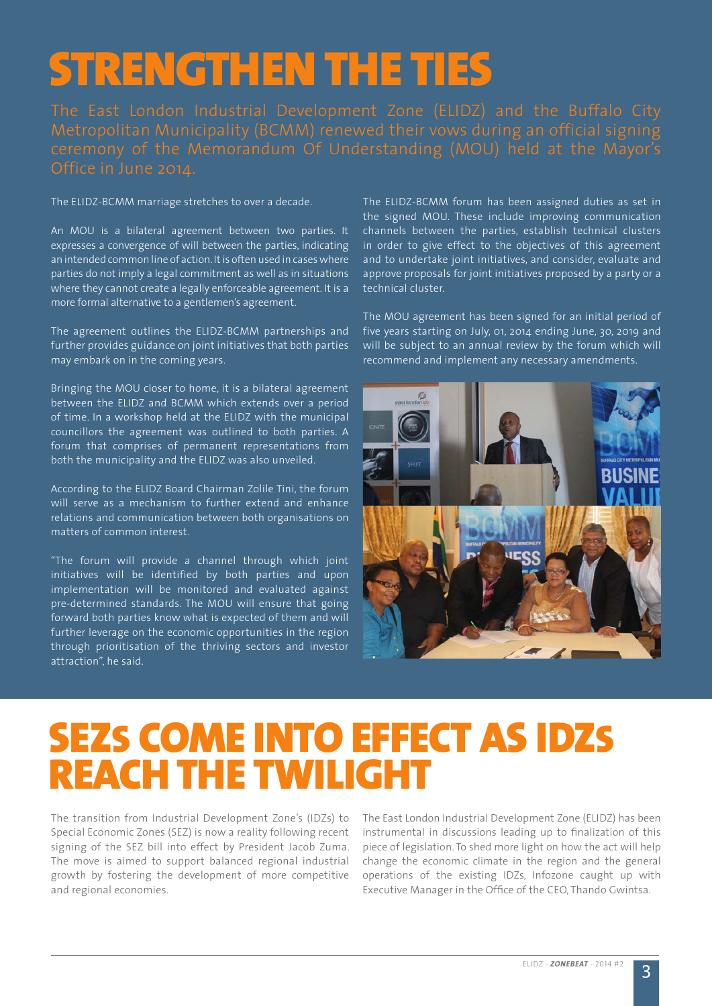# STRENGTHEN THE TIES

The ELIDZ-BCMM marriage stretches to over a decade.

An MOU is a bilateral agreement between two parties. It expresses a convergence of will between the parties, indicating an intended common line of action. It is often used in cases where parties do not imply a legal commitment as well as in situations where they cannot create a legally enforceable agreement. It is a more formal alternative to a gentlemen's agreement.

The agreement outlines the ELIDZ-BCMM partnerships and further provides guidance on joint initiatives that both parties may embark on in the coming years.

Bringing the MOU closer to home, it is a bilateral agreement between the ELIDZ and BCMM which extends over a period of time. In a workshop held at the ELIDZ with the municipal councillors the agreement was outlined to both parties. A forum that comprises of permanent representations from both the municipality and the ELIDZ was also unveiled.

According to the ELIDZ Board Chairman Zolile Tini, the forum will serve as a mechanism to further extend and enhance relations and communication between both organisations on matters of common interest.

"The forum will provide a channel through which joint initiatives will be identified by both parties and upon implementation will be monitored and evaluated against pre-determined standards. The MOU will ensure that going forward both parties know what is expected of them and will further leverage on the economic opportunities in the region through prioritisation of the thriving sectors and investor attraction", he said.

The ELIDZ-BCMM forum has been assigned duties as set in the signed MOU. These include improving communication channels between the parties, establish technical clusters in order to give effect to the objectives of this agreement and to undertake joint initiatives, and consider, evaluate and approve proposals for joint initiatives proposed by a party or a technical cluster.

The MOU agreement has been signed for an initial period of five years starting on July, 01, 2014 ending June, 30, 2019 and will be subject to an annual review by the forum which will recommend and implement any necessary amendments.



### SEZS COME INTO EFFECT AS IDZS REACH THE TWILIGHT

The transition from Industrial Development Zone's (IDZs) to Special Economic Zones (SEZ) is now a reality following recent signing of the SEZ bill into effect by President Jacob Zuma. The move is aimed to support balanced regional industrial growth by fostering the development of more competitive and regional economies.

The East London Industrial Development Zone (ELIDZ) has been instrumental in discussions leading up to finalization of this piece of legislation. To shed more light on how the act will help change the economic climate in the region and the general operations of the existing IDZs, Infozone caught up with Executive Manager in the Office of the CEO, Thando Gwintsa.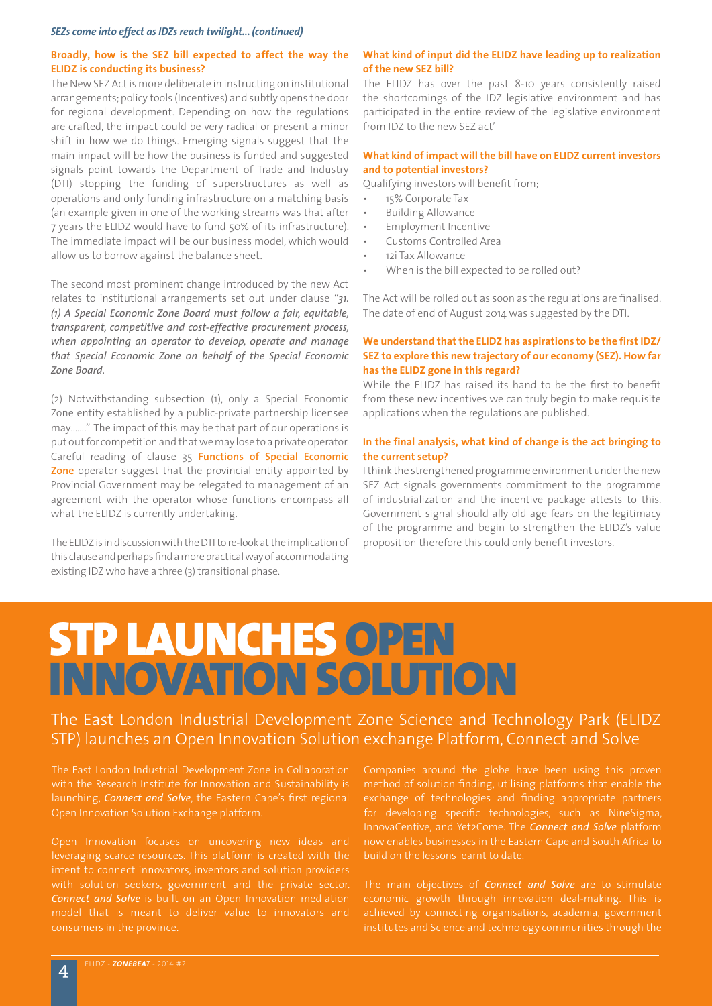#### *SEZs come into effect as IDZs reach twilight... (continued)*

#### **Broadly, how is the SEZ bill expected to affect the way the ELIDZ is conducting its business?**

The New SEZ Act is more deliberate in instructing on institutional arrangements; policy tools (Incentives) and subtly opens the door for regional development. Depending on how the regulations are crafted, the impact could be very radical or present a minor shift in how we do things. Emerging signals suggest that the main impact will be how the business is funded and suggested signals point towards the Department of Trade and Industry (DTI) stopping the funding of superstructures as well as operations and only funding infrastructure on a matching basis (an example given in one of the working streams was that after 7 years the ELIDZ would have to fund 50% of its infrastructure). The immediate impact will be our business model, which would allow us to borrow against the balance sheet.

The second most prominent change introduced by the new Act relates to institutional arrangements set out under clause *"31. (1) A Special Economic Zone Board must follow a fair, equitable, transparent, competitive and cost-effective procurement process, when appointing an operator to develop, operate and manage that Special Economic Zone on behalf of the Special Economic Zone Board.*

(2) Notwithstanding subsection (1), only a Special Economic Zone entity established by a public-private partnership licensee may……." The impact of this may be that part of our operations is put out for competition and that we may lose to a private operator. Careful reading of clause 35 **Functions of Special Economic Zone** operator suggest that the provincial entity appointed by Provincial Government may be relegated to management of an agreement with the operator whose functions encompass all what the ELIDZ is currently undertaking.

The ELIDZ is in discussion with the DTI to re-look at the implication of this clause and perhaps find a more practical way of accommodating existing IDZ who have a three (3) transitional phase.

#### **What kind of input did the ELIDZ have leading up to realization of the new SEZ bill?**

The ELIDZ has over the past 8-10 years consistently raised the shortcomings of the IDZ legislative environment and has participated in the entire review of the legislative environment from IDZ to the new SEZ act'

#### **What kind of impact will the bill have on ELIDZ current investors and to potential investors?**

Qualifying investors will benefit from;

- 15% Corporate Tax
- **Building Allowance**
- **Employment Incentive**
- Customs Controlled Area
- 12i Tax Allowance
- When is the bill expected to be rolled out?

The Act will be rolled out as soon as the regulations are finalised. The date of end of August 2014 was suggested by the DTI.

#### **We understand that the ELIDZ has aspirations to be the first IDZ/ SEZ to explore this new trajectory of our economy (SEZ). How far has the ELIDZ gone in this regard?**

While the ELIDZ has raised its hand to be the first to benefit from these new incentives we can truly begin to make requisite applications when the regulations are published.

#### **In the final analysis, what kind of change is the act bringing to the current setup?**

I think the strengthened programme environment under the new SEZ Act signals governments commitment to the programme of industrialization and the incentive package attests to this. Government signal should ally old age fears on the legitimacy of the programme and begin to strengthen the ELIDZ's value proposition therefore this could only benefit investors.

## STP LAUNCHES OPEN INNOVATION SOLUTION

The East London Industrial Development Zone Science and Technology Park (ELIDZ STP) launches an Open Innovation Solution exchange Platform, Connect and Solve

launching, *Connect and Solve*, the Eastern Cape's first regional Open Innovation Solution Exchange platform.

leveraging scarce resources. This platform is created with the

Companies around the globe have been using this proven method of solution finding, utilising platforms that enable the exchange of technologies and finding appropriate partners for developing specific technologies, such as NineSigma, InnovaCentive, and Yet2Come. The *Connect and Solve* platform build on the lessons learnt to date.

The main objectives of *Connect and Solve* are to stimulate economic growth through innovation deal-making. This is achieved by connecting organisations, academia, government institutes and Science and technology communities through the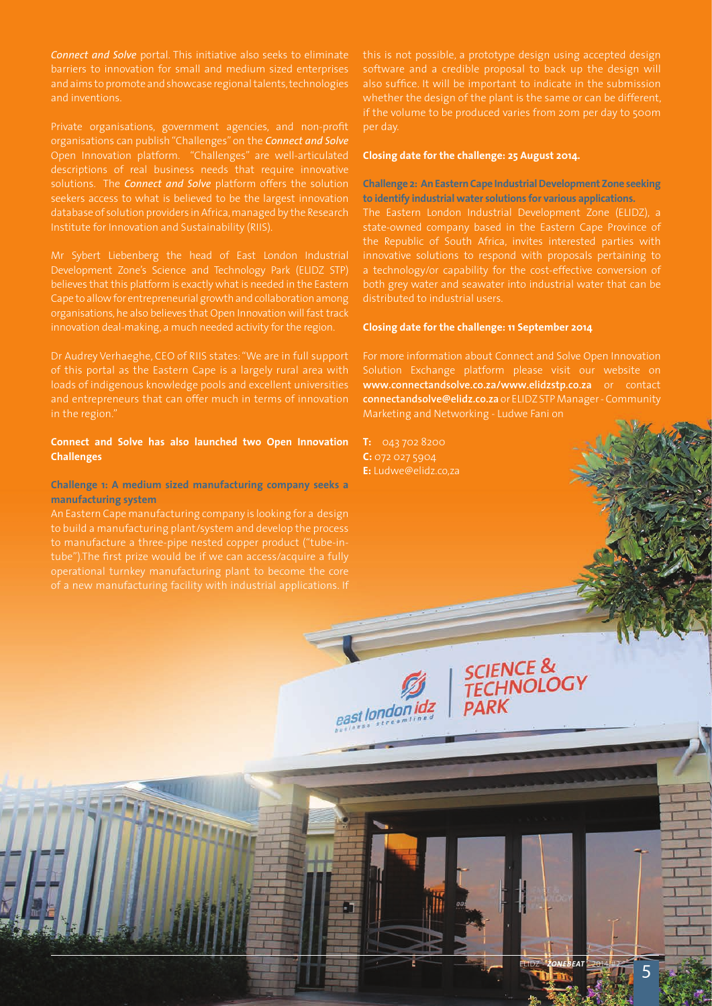*Connect and Solve* portal. This initiative also seeks to eliminate and aims to promote and showcase regional talents, technologies and inventions.

Private organisations, government agencies, and non-profit organisations can publish "Challenges" on the *Connect and Solve* Open Innovation platform. "Challenges" are well-articulated solutions. The *Connect and Solve* platform offers the solution seekers access to what is believed to be the largest innovation database of solution providers in Africa, managed by the Research

Development Zone's Science and Technology Park (ELIDZ STP) believes that this platform is exactly what is needed in the Eastern

Dr Audrey Verhaeghe, CEO of RIIS states: "We are in full support of this portal as the Eastern Cape is a largely rural area with loads of indigenous knowledge pools and excellent universities in the region."

#### **Connect and Solve has also launched two Open Innovation Challenges**

**Challenge 1: A medium sized manufacturing company seeks a manufacturing system**

An Eastern Cape manufacturing company is looking for a design to build a manufacturing plant/system and develop the process

this is not possible, a prototype design using accepted design per day.

#### **Closing date for the challenge: 25 August 2014.**

#### **Challenge 2: An Eastern Cape Industrial Development Zone seeking to identify industrial water solutions for various applications.**

a technology/or capability for the cost-effective conversion of both grey water and seawater into industrial water that can be distributed to industrial users.

#### **Closing date for the challenge: 11 September 2014**

Solution Exchange platform please visit our website on **www.connectandsolve.co.za/www.elidzstp.co.za** or contact **connectandsolve@elidz.co.za** or ELIDZ STP Manager - Community

SCIENCE &<br>TECHNOLOGY

**PARK** 

**C:** 072 027 5904 **E:** Ludwe@elidz.co,za



告

ELIDZ - **ZONEBEAT** - 2014<sup>/#2</sup> 5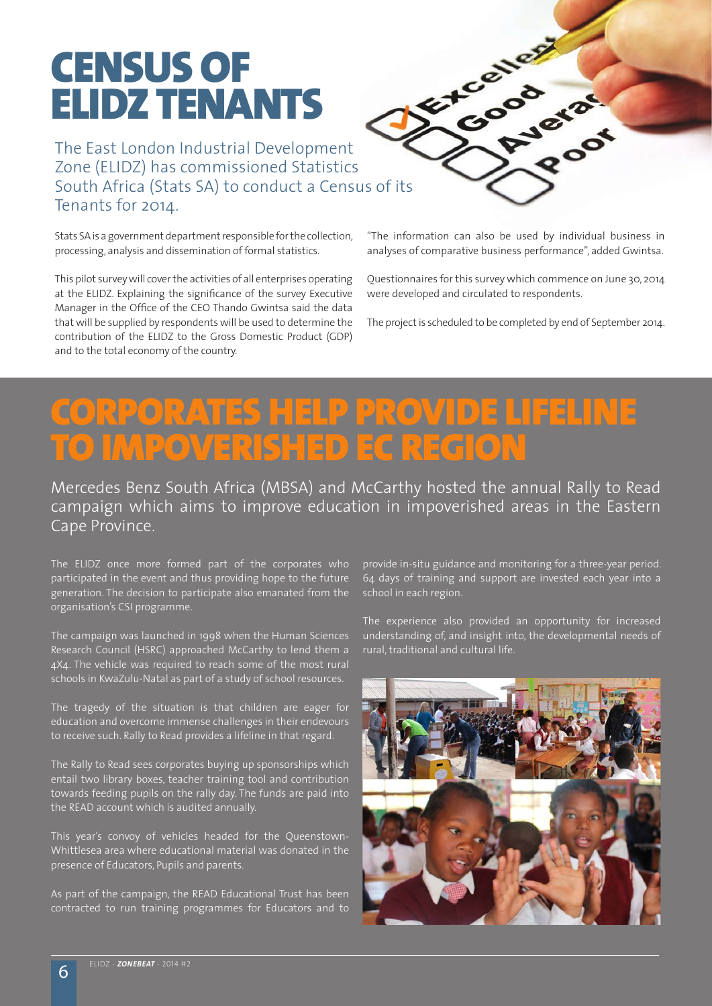### CENSUS OF ELIDZ TENANTS

The East London Industrial Development Zone (ELIDZ) has commissioned Statistics Tenants for 2014.

Stats SA is a government department responsible for the collection, processing, analysis and dissemination of formal statistics.

This pilot survey will cover the activities of all enterprises operating at the ELIDZ. Explaining the significance of the survey Executive Manager in the Office of the CEO Thando Gwintsa said the data that will be supplied by respondents will be used to determine the contribution of the ELIDZ to the Gross Domestic Product (GDP) and to the total economy of the country.



"The information can also be used by individual business in analyses of comparative business performance", added Gwintsa.

Questionnaires for this survey which commence on June 30, 2014 were developed and circulated to respondents.

The project is scheduled to be completed by end of September 2014.

### RPORATES HELP PROVIDE LIFELINE MPOVERISHED EC REGION

Mercedes Benz South Africa (MBSA) and McCarthy hosted the annual Rally to Read campaign which aims to improve education in impoverished areas in the Eastern Cape Province.

The ELIDZ once more formed part of the corporates who participated in the event and thus providing hope to the future generation. The decision to participate also emanated from the organisation's CSI programme.

The campaign was launched in 1998 when the Human Sciences Research Council (HSRC) approached McCarthy to lend them a 4X4. The vehicle was required to reach some of the most rural schools in KwaZulu-Natal as part of a study of school resources.

The tragedy of the situation is that children are eager for education and overcome immense challenges in their endevours to receive such. Rally to Read provides a lifeline in that regard.

The Rally to Read sees corporates buying up sponsorships which entail two library boxes, teacher training tool and contribution towards feeding pupils on the rally day. The funds are paid into the READ account which is audited annually.

This year's convoy of vehicles headed for the Queenstown-Whittlesea area where educational material was donated in the presence of Educators, Pupils and parents.

As part of the campaign, the READ Educational Trust has been contracted to run training programmes for Educators and to

provide in-situ guidance and monitoring for a three-year period. 64 days of training and support are invested each year into a school in each region.

The experience also provided an opportunity for increased understanding of, and insight into, the developmental needs of rural, traditional and cultural life.

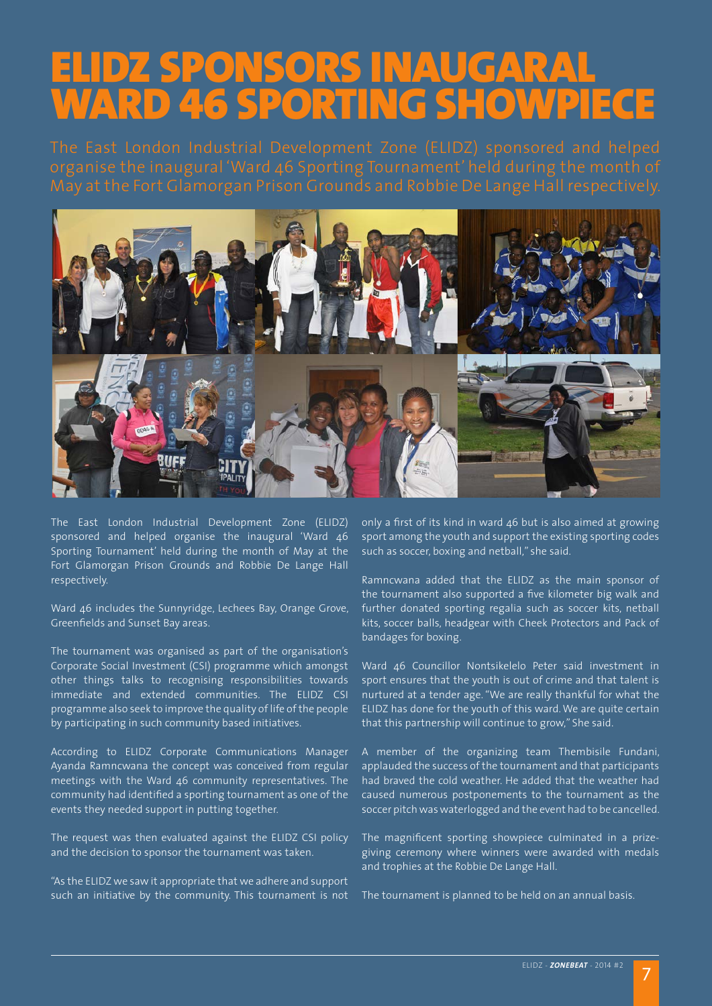### **IDZ SPONSORS INAUGARAI** WARD 46 SPORTING SHOWPIECE



The East London Industrial Development Zone (ELIDZ) sponsored and helped organise the inaugural 'Ward 46 Sporting Tournament' held during the month of May at the Fort Glamorgan Prison Grounds and Robbie De Lange Hall respectively.

Ward 46 includes the Sunnyridge, Lechees Bay, Orange Grove, Greenfields and Sunset Bay areas.

The tournament was organised as part of the organisation's Corporate Social Investment (CSI) programme which amongst other things talks to recognising responsibilities towards immediate and extended communities. The ELIDZ CSI programme also seek to improve the quality of life of the people by participating in such community based initiatives.

According to ELIDZ Corporate Communications Manager Ayanda Ramncwana the concept was conceived from regular meetings with the Ward 46 community representatives. The community had identified a sporting tournament as one of the events they needed support in putting together.

The request was then evaluated against the ELIDZ CSI policy and the decision to sponsor the tournament was taken.

"As the ELIDZ we saw it appropriate that we adhere and support such an initiative by the community. This tournament is not only a first of its kind in ward 46 but is also aimed at growing sport among the youth and support the existing sporting codes such as soccer, boxing and netball," she said.

Ramncwana added that the ELIDZ as the main sponsor of the tournament also supported a five kilometer big walk and further donated sporting regalia such as soccer kits, netball kits, soccer balls, headgear with Cheek Protectors and Pack of bandages for boxing.

Ward 46 Councillor Nontsikelelo Peter said investment in sport ensures that the youth is out of crime and that talent is nurtured at a tender age. "We are really thankful for what the ELIDZ has done for the youth of this ward. We are quite certain that this partnership will continue to grow," She said.

A member of the organizing team Thembisile Fundani, applauded the success of the tournament and that participants had braved the cold weather. He added that the weather had caused numerous postponements to the tournament as the soccer pitch was waterlogged and the event had to be cancelled.

The magnificent sporting showpiece culminated in a prizegiving ceremony where winners were awarded with medals and trophies at the Robbie De Lange Hall.

The tournament is planned to be held on an annual basis.